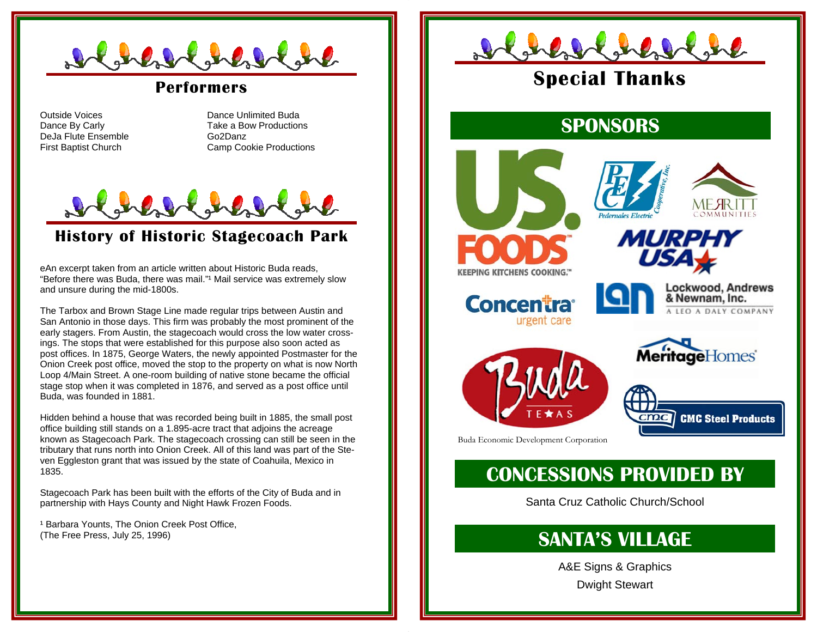

#### **Performers**

Outside Voices Dance By Carly DeJa Flute Ensemble First Baptist Church

Dance Unlimited Buda Take a Bow Productions Go2Danz Camp Cookie Productions



#### **History of Historic Stagecoach Park**

eAn excerpt taken from an article written about Historic Buda reads, "Before there was Buda, there was mail."<sup>1</sup> Mail service was extremely slow and unsure during the mid-1800s.

The Tarbox and Brown Stage Line made regular trips between Austin and San Antonio in those days. This firm was probably the most prominent of the early stagers. From Austin, the stagecoach would cross the low water crossings. The stops that were established for this purpose also soon acted as post offices. In 1875, George Waters, the newly appointed Postmaster for the Onion Creek post office, moved the stop to the property on what is now North Loop 4/Main Street. A one-room building of native stone became the official stage stop when it was completed in 1876, and served as a post office until Buda, was founded in 1881.

Hidden behind a house that was recorded being built in 1885, the small post office building still stands on a 1.895-acre tract that adjoins the acreage known as Stagecoach Park. The stagecoach crossing can still be seen in the tributary that runs north into Onion Creek. All of this land was part of the Steven Eggleston grant that was issued by the state of Coahuila, Mexico in 1835.

Stagecoach Park has been built with the efforts of the City of Buda and in partnership with Hays County and Night Hawk Frozen Foods.

<sup>1</sup> Barbara Younts, The Onion Creek Post Office, (The Free Press, July 25, 1996)



## **Special Thanks**

### **SPONSORS**







**Concentra** urgent care



 $cmc$ 





**Lockwood, Andrews** 

**CMC Steel Products** 

Buda Economic Development Corporation

## **CONCESSIONS PROVIDED BY**

Santa Cruz Catholic Church/School

## **SANTA'S VILLAGE**

A&E Signs & Graphics Dwight Stewart